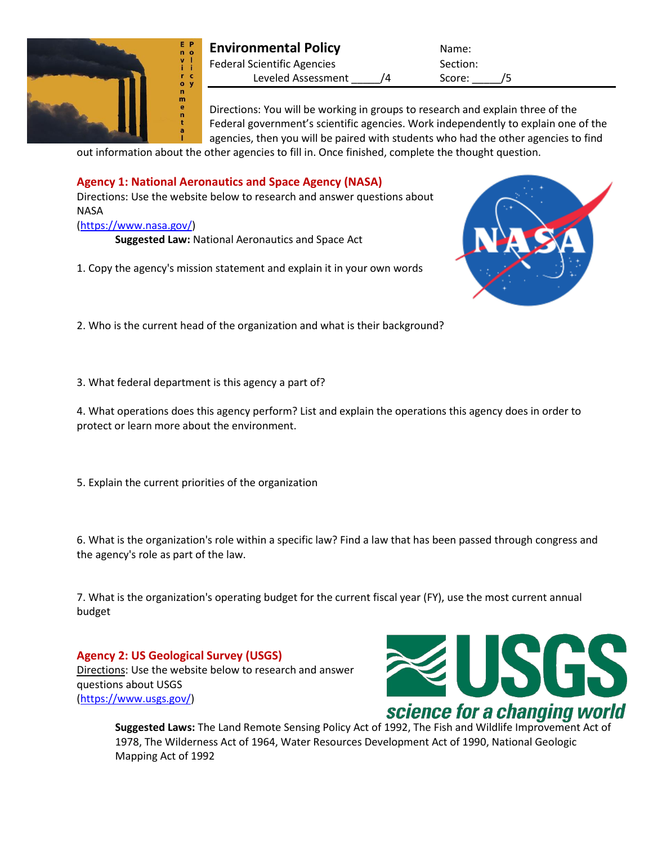

## **Environmental Policy** Name: Federal Scientific Agencies Section: Leveled Assessment /4 Score: /5

Directions: You will be working in groups to research and explain three of the Federal government's scientific agencies. Work independently to explain one of the agencies, then you will be paired with students who had the other agencies to find

out information about the other agencies to fill in. Once finished, complete the thought question.

# **Agency 1: National Aeronautics and Space Agency (NASA)**

Directions: Use the website below to research and answer questions about NASA

## [\(https://www.nasa.gov/\)](https://www.nasa.gov/)

**Suggested Law:** National Aeronautics and Space Act

1. Copy the agency's mission statement and explain it in your own words



2. Who is the current head of the organization and what is their background?

3. What federal department is this agency a part of?

4. What operations does this agency perform? List and explain the operations this agency does in order to protect or learn more about the environment.

5. Explain the current priorities of the organization

6. What is the organization's role within a specific law? Find a law that has been passed through congress and the agency's role as part of the law.

7. What is the organization's operating budget for the current fiscal year (FY), use the most current annual budget

**Agency 2: US Geological Survey (USGS)** Directions: Use the website below to research and answer questions about USGS [\(https://www.usgs.gov/\)](https://www.usgs.gov/)



**Suggested Laws:** The Land Remote Sensing Policy Act of 1992, The Fish and Wildlife Improvement Act of 1978, The Wilderness Act of 1964, Water Resources Development Act of 1990, National Geologic Mapping Act of 1992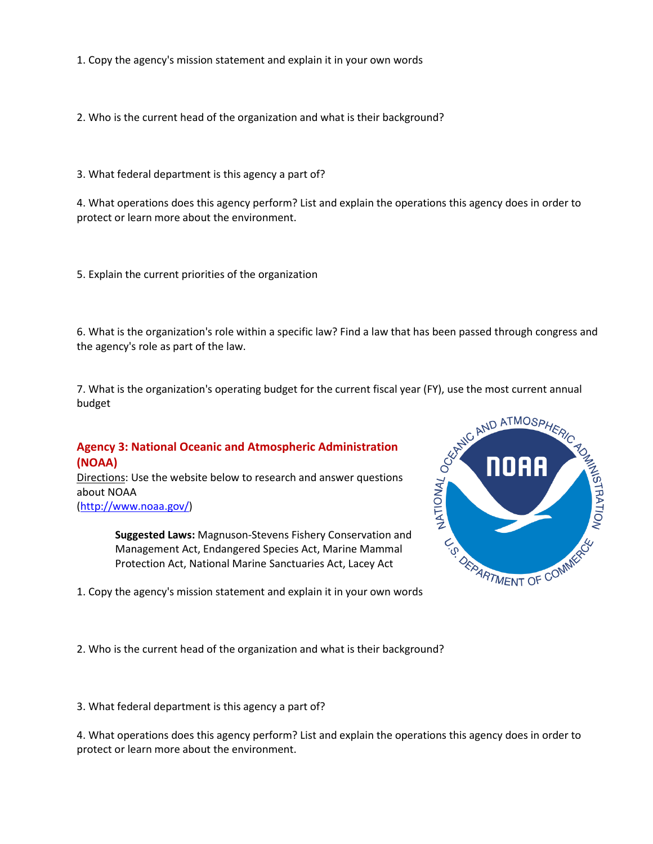1. Copy the agency's mission statement and explain it in your own words

2. Who is the current head of the organization and what is their background?

3. What federal department is this agency a part of?

4. What operations does this agency perform? List and explain the operations this agency does in order to protect or learn more about the environment.

5. Explain the current priorities of the organization

6. What is the organization's role within a specific law? Find a law that has been passed through congress and the agency's role as part of the law.

budget

#### **Agency 3: National Oceanic and Atmospheric Administration (NOAA)**

Directions: Use the website below to research and answer questions about NOAA [\(http://www.noaa.gov/\)](http://www.noaa.gov/)

> **Suggested Laws:** Magnuson-Stevens Fishery Conservation and Management Act, Endangered Species Act, Marine Mammal Protection Act, National Marine Sanctuaries Act, Lacey Act





2. Who is the current head of the organization and what is their background?

3. What federal department is this agency a part of?

4. What operations does this agency perform? List and explain the operations this agency does in order to protect or learn more about the environment.